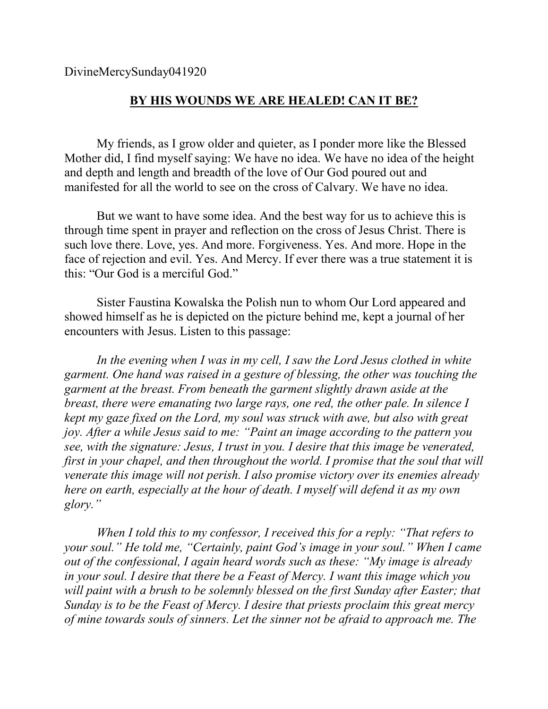DivineMercySunday041920

## **BY HIS WOUNDS WE ARE HEALED! CAN IT BE?**

My friends, as I grow older and quieter, as I ponder more like the Blessed Mother did, I find myself saying: We have no idea. We have no idea of the height and depth and length and breadth of the love of Our God poured out and manifested for all the world to see on the cross of Calvary. We have no idea.

But we want to have some idea. And the best way for us to achieve this is through time spent in prayer and reflection on the cross of Jesus Christ. There is such love there. Love, yes. And more. Forgiveness. Yes. And more. Hope in the face of rejection and evil. Yes. And Mercy. If ever there was a true statement it is this: "Our God is a merciful God."

Sister Faustina Kowalska the Polish nun to whom Our Lord appeared and showed himself as he is depicted on the picture behind me, kept a journal of her encounters with Jesus. Listen to this passage:

*In the evening when I was in my cell, I saw the Lord Jesus clothed in white garment. One hand was raised in a gesture of blessing, the other was touching the garment at the breast. From beneath the garment slightly drawn aside at the breast, there were emanating two large rays, one red, the other pale. In silence I kept my gaze fixed on the Lord, my soul was struck with awe, but also with great joy. After a while Jesus said to me: "Paint an image according to the pattern you see, with the signature: Jesus, I trust in you. I desire that this image be venerated, first in your chapel, and then throughout the world. I promise that the soul that will venerate this image will not perish. I also promise victory over its enemies already here on earth, especially at the hour of death. I myself will defend it as my own glory."* 

*When I told this to my confessor, I received this for a reply: "That refers to your soul." He told me, "Certainly, paint God's image in your soul." When I came out of the confessional, I again heard words such as these: "My image is already in your soul. I desire that there be a Feast of Mercy. I want this image which you*  will paint with a brush to be solemnly blessed on the first Sunday after Easter; that *Sunday is to be the Feast of Mercy. I desire that priests proclaim this great mercy of mine towards souls of sinners. Let the sinner not be afraid to approach me. The*